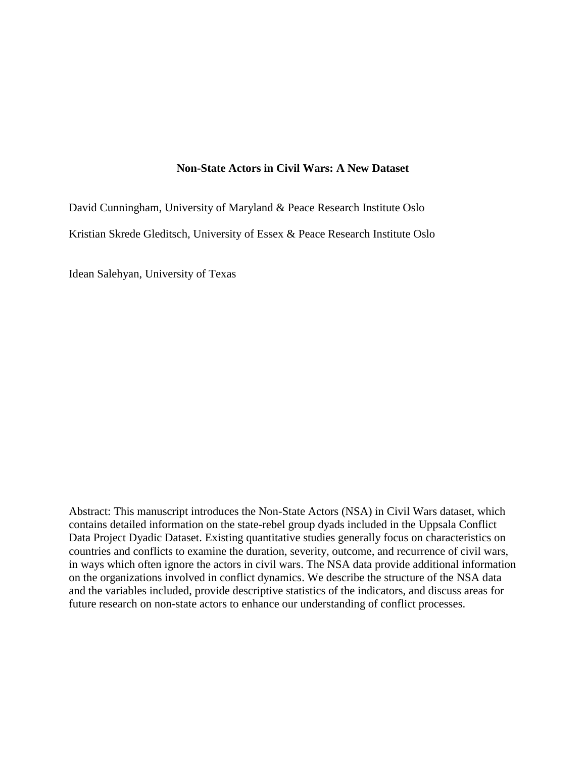# **Non-State Actors in Civil Wars: A New Dataset**

David Cunningham, University of Maryland & Peace Research Institute Oslo Kristian Skrede Gleditsch, University of Essex & Peace Research Institute Oslo

Idean Salehyan, University of Texas

Abstract: This manuscript introduces the Non-State Actors (NSA) in Civil Wars dataset, which contains detailed information on the state-rebel group dyads included in the Uppsala Conflict Data Project Dyadic Dataset. Existing quantitative studies generally focus on characteristics on countries and conflicts to examine the duration, severity, outcome, and recurrence of civil wars, in ways which often ignore the actors in civil wars. The NSA data provide additional information on the organizations involved in conflict dynamics. We describe the structure of the NSA data and the variables included, provide descriptive statistics of the indicators, and discuss areas for future research on non-state actors to enhance our understanding of conflict processes.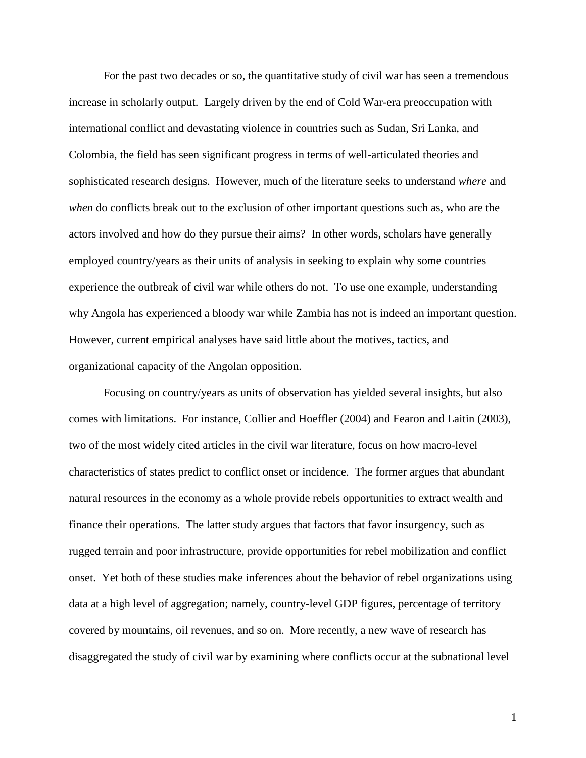For the past two decades or so, the quantitative study of civil war has seen a tremendous increase in scholarly output. Largely driven by the end of Cold War-era preoccupation with international conflict and devastating violence in countries such as Sudan, Sri Lanka, and Colombia, the field has seen significant progress in terms of well-articulated theories and sophisticated research designs. However, much of the literature seeks to understand *where* and *when* do conflicts break out to the exclusion of other important questions such as, who are the actors involved and how do they pursue their aims? In other words, scholars have generally employed country/years as their units of analysis in seeking to explain why some countries experience the outbreak of civil war while others do not. To use one example, understanding why Angola has experienced a bloody war while Zambia has not is indeed an important question. However, current empirical analyses have said little about the motives, tactics, and organizational capacity of the Angolan opposition.

Focusing on country/years as units of observation has yielded several insights, but also comes with limitations. For instance, Collier and Hoeffler (2004) and Fearon and Laitin (2003), two of the most widely cited articles in the civil war literature, focus on how macro-level characteristics of states predict to conflict onset or incidence. The former argues that abundant natural resources in the economy as a whole provide rebels opportunities to extract wealth and finance their operations. The latter study argues that factors that favor insurgency, such as rugged terrain and poor infrastructure, provide opportunities for rebel mobilization and conflict onset. Yet both of these studies make inferences about the behavior of rebel organizations using data at a high level of aggregation; namely, country-level GDP figures, percentage of territory covered by mountains, oil revenues, and so on. More recently, a new wave of research has disaggregated the study of civil war by examining where conflicts occur at the subnational level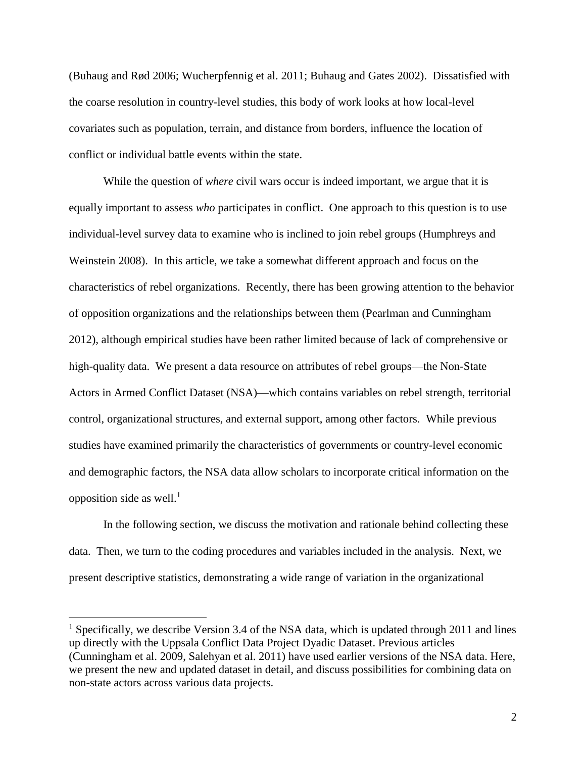(Buhaug and Rød 2006; Wucherpfennig et al. 2011; Buhaug and Gates 2002). Dissatisfied with the coarse resolution in country-level studies, this body of work looks at how local-level covariates such as population, terrain, and distance from borders, influence the location of conflict or individual battle events within the state.

While the question of *where* civil wars occur is indeed important, we argue that it is equally important to assess *who* participates in conflict. One approach to this question is to use individual-level survey data to examine who is inclined to join rebel groups (Humphreys and Weinstein 2008). In this article, we take a somewhat different approach and focus on the characteristics of rebel organizations. Recently, there has been growing attention to the behavior of opposition organizations and the relationships between them (Pearlman and Cunningham 2012), although empirical studies have been rather limited because of lack of comprehensive or high-quality data. We present a data resource on attributes of rebel groups—the Non-State Actors in Armed Conflict Dataset (NSA)—which contains variables on rebel strength, territorial control, organizational structures, and external support, among other factors. While previous studies have examined primarily the characteristics of governments or country-level economic and demographic factors, the NSA data allow scholars to incorporate critical information on the opposition side as well.<sup>1</sup>

In the following section, we discuss the motivation and rationale behind collecting these data. Then, we turn to the coding procedures and variables included in the analysis. Next, we present descriptive statistics, demonstrating a wide range of variation in the organizational

 $\overline{a}$ 

<sup>&</sup>lt;sup>1</sup> Specifically, we describe Version 3.4 of the NSA data, which is updated through 2011 and lines up directly with the Uppsala Conflict Data Project Dyadic Dataset. Previous articles (Cunningham et al. 2009, Salehyan et al. 2011) have used earlier versions of the NSA data. Here, we present the new and updated dataset in detail, and discuss possibilities for combining data on non-state actors across various data projects.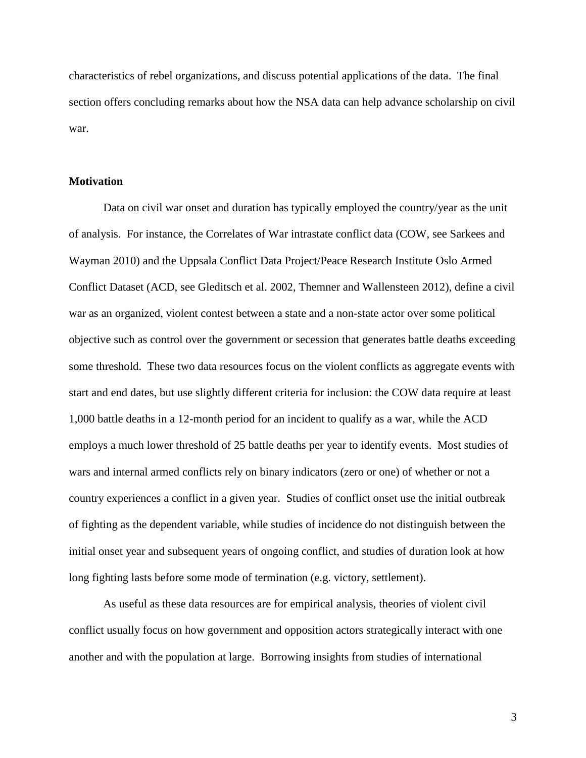characteristics of rebel organizations, and discuss potential applications of the data. The final section offers concluding remarks about how the NSA data can help advance scholarship on civil war.

#### **Motivation**

Data on civil war onset and duration has typically employed the country/year as the unit of analysis. For instance, the Correlates of War intrastate conflict data (COW, see Sarkees and Wayman 2010) and the Uppsala Conflict Data Project/Peace Research Institute Oslo Armed Conflict Dataset (ACD, see Gleditsch et al. 2002, Themner and Wallensteen 2012), define a civil war as an organized, violent contest between a state and a non-state actor over some political objective such as control over the government or secession that generates battle deaths exceeding some threshold. These two data resources focus on the violent conflicts as aggregate events with start and end dates, but use slightly different criteria for inclusion: the COW data require at least 1,000 battle deaths in a 12-month period for an incident to qualify as a war, while the ACD employs a much lower threshold of 25 battle deaths per year to identify events. Most studies of wars and internal armed conflicts rely on binary indicators (zero or one) of whether or not a country experiences a conflict in a given year. Studies of conflict onset use the initial outbreak of fighting as the dependent variable, while studies of incidence do not distinguish between the initial onset year and subsequent years of ongoing conflict, and studies of duration look at how long fighting lasts before some mode of termination (e.g. victory, settlement).

As useful as these data resources are for empirical analysis, theories of violent civil conflict usually focus on how government and opposition actors strategically interact with one another and with the population at large. Borrowing insights from studies of international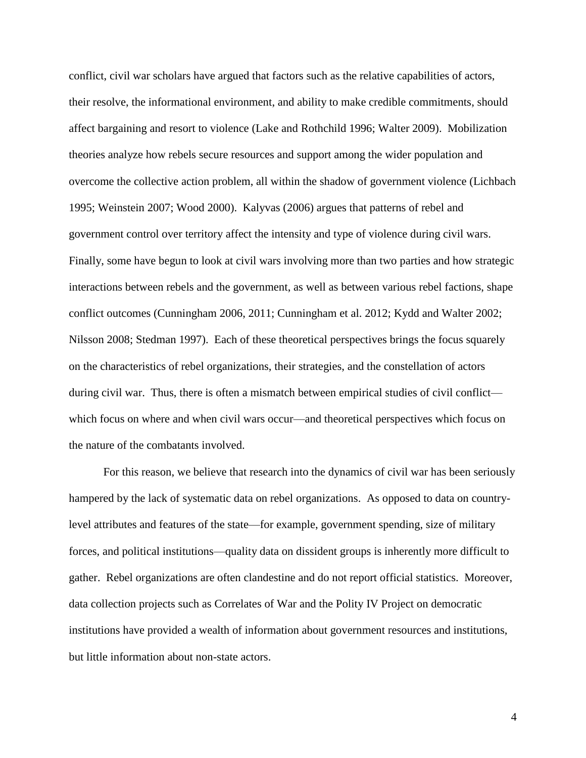conflict, civil war scholars have argued that factors such as the relative capabilities of actors, their resolve, the informational environment, and ability to make credible commitments, should affect bargaining and resort to violence (Lake and Rothchild 1996; Walter 2009). Mobilization theories analyze how rebels secure resources and support among the wider population and overcome the collective action problem, all within the shadow of government violence (Lichbach 1995; Weinstein 2007; Wood 2000). Kalyvas (2006) argues that patterns of rebel and government control over territory affect the intensity and type of violence during civil wars. Finally, some have begun to look at civil wars involving more than two parties and how strategic interactions between rebels and the government, as well as between various rebel factions, shape conflict outcomes (Cunningham 2006, 2011; Cunningham et al. 2012; Kydd and Walter 2002; Nilsson 2008; Stedman 1997). Each of these theoretical perspectives brings the focus squarely on the characteristics of rebel organizations, their strategies, and the constellation of actors during civil war. Thus, there is often a mismatch between empirical studies of civil conflict which focus on where and when civil wars occur—and theoretical perspectives which focus on the nature of the combatants involved.

For this reason, we believe that research into the dynamics of civil war has been seriously hampered by the lack of systematic data on rebel organizations. As opposed to data on countrylevel attributes and features of the state—for example, government spending, size of military forces, and political institutions—quality data on dissident groups is inherently more difficult to gather. Rebel organizations are often clandestine and do not report official statistics. Moreover, data collection projects such as Correlates of War and the Polity IV Project on democratic institutions have provided a wealth of information about government resources and institutions, but little information about non-state actors.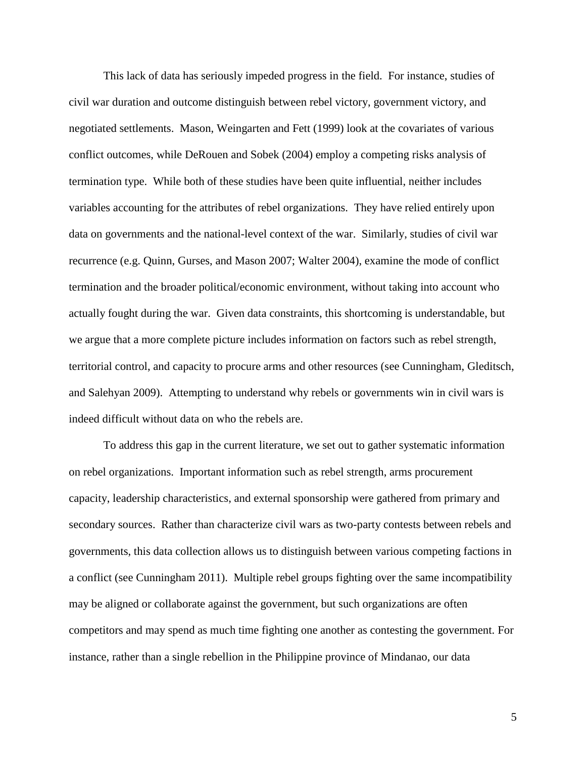This lack of data has seriously impeded progress in the field. For instance, studies of civil war duration and outcome distinguish between rebel victory, government victory, and negotiated settlements. Mason, Weingarten and Fett (1999) look at the covariates of various conflict outcomes, while DeRouen and Sobek (2004) employ a competing risks analysis of termination type. While both of these studies have been quite influential, neither includes variables accounting for the attributes of rebel organizations. They have relied entirely upon data on governments and the national-level context of the war. Similarly, studies of civil war recurrence (e.g. Quinn, Gurses, and Mason 2007; Walter 2004), examine the mode of conflict termination and the broader political/economic environment, without taking into account who actually fought during the war. Given data constraints, this shortcoming is understandable, but we argue that a more complete picture includes information on factors such as rebel strength, territorial control, and capacity to procure arms and other resources (see Cunningham, Gleditsch, and Salehyan 2009). Attempting to understand why rebels or governments win in civil wars is indeed difficult without data on who the rebels are.

To address this gap in the current literature, we set out to gather systematic information on rebel organizations. Important information such as rebel strength, arms procurement capacity, leadership characteristics, and external sponsorship were gathered from primary and secondary sources. Rather than characterize civil wars as two-party contests between rebels and governments, this data collection allows us to distinguish between various competing factions in a conflict (see Cunningham 2011). Multiple rebel groups fighting over the same incompatibility may be aligned or collaborate against the government, but such organizations are often competitors and may spend as much time fighting one another as contesting the government. For instance, rather than a single rebellion in the Philippine province of Mindanao, our data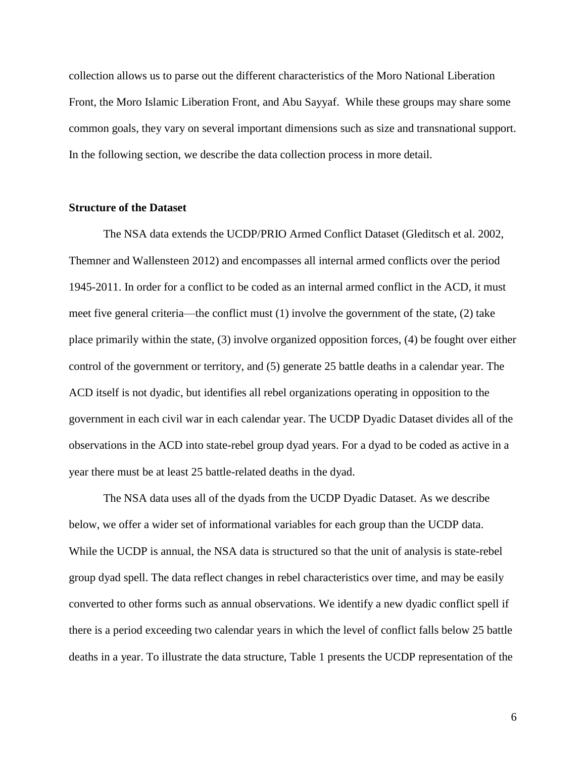collection allows us to parse out the different characteristics of the Moro National Liberation Front, the Moro Islamic Liberation Front, and Abu Sayyaf. While these groups may share some common goals, they vary on several important dimensions such as size and transnational support. In the following section, we describe the data collection process in more detail.

### **Structure of the Dataset**

The NSA data extends the UCDP/PRIO Armed Conflict Dataset (Gleditsch et al. 2002, Themner and Wallensteen 2012) and encompasses all internal armed conflicts over the period 1945-2011. In order for a conflict to be coded as an internal armed conflict in the ACD, it must meet five general criteria—the conflict must (1) involve the government of the state, (2) take place primarily within the state, (3) involve organized opposition forces, (4) be fought over either control of the government or territory, and (5) generate 25 battle deaths in a calendar year. The ACD itself is not dyadic, but identifies all rebel organizations operating in opposition to the government in each civil war in each calendar year. The UCDP Dyadic Dataset divides all of the observations in the ACD into state-rebel group dyad years. For a dyad to be coded as active in a year there must be at least 25 battle-related deaths in the dyad.

The NSA data uses all of the dyads from the UCDP Dyadic Dataset. As we describe below, we offer a wider set of informational variables for each group than the UCDP data. While the UCDP is annual, the NSA data is structured so that the unit of analysis is state-rebel group dyad spell. The data reflect changes in rebel characteristics over time, and may be easily converted to other forms such as annual observations. We identify a new dyadic conflict spell if there is a period exceeding two calendar years in which the level of conflict falls below 25 battle deaths in a year. To illustrate the data structure, Table 1 presents the UCDP representation of the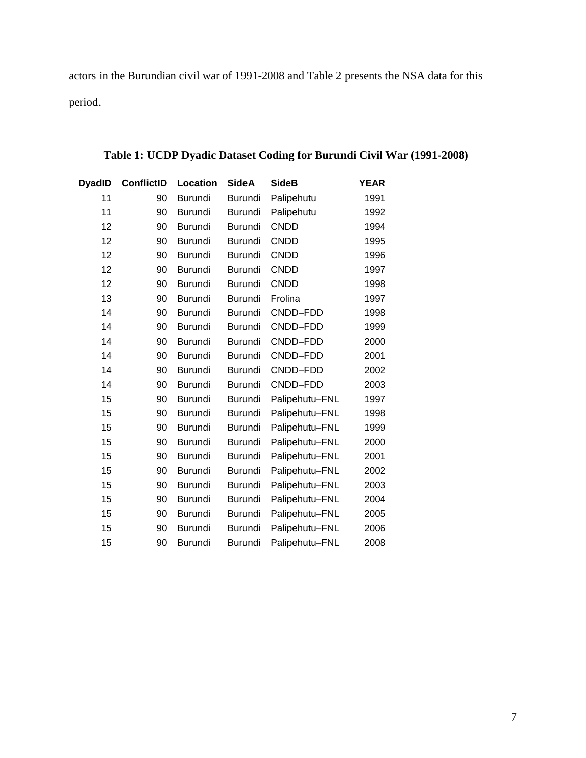actors in the Burundian civil war of 1991-2008 and Table 2 presents the NSA data for this period.

| <b>DyadID</b> | <b>ConflictID</b> | Location       | <b>SideA</b>   | <b>SideB</b>   | <b>YEAR</b> |
|---------------|-------------------|----------------|----------------|----------------|-------------|
| 11            | 90                | <b>Burundi</b> | <b>Burundi</b> | Palipehutu     | 1991        |
| 11            | 90                | <b>Burundi</b> | Burundi        | Palipehutu     | 1992        |
| 12            | 90                | <b>Burundi</b> | <b>Burundi</b> | <b>CNDD</b>    | 1994        |
| 12            | 90                | <b>Burundi</b> | Burundi        | <b>CNDD</b>    | 1995        |
| 12            | 90                | <b>Burundi</b> | <b>Burundi</b> | <b>CNDD</b>    | 1996        |
| 12            | 90                | <b>Burundi</b> | Burundi        | <b>CNDD</b>    | 1997        |
| 12            | 90                | <b>Burundi</b> | <b>Burundi</b> | <b>CNDD</b>    | 1998        |
| 13            | 90                | <b>Burundi</b> | <b>Burundi</b> | Frolina        | 1997        |
| 14            | 90                | <b>Burundi</b> | <b>Burundi</b> | CNDD-FDD       | 1998        |
| 14            | 90                | <b>Burundi</b> | <b>Burundi</b> | CNDD-FDD       | 1999        |
| 14            | 90                | <b>Burundi</b> | <b>Burundi</b> | CNDD-FDD       | 2000        |
| 14            | 90                | <b>Burundi</b> | <b>Burundi</b> | CNDD-FDD       | 2001        |
| 14            | 90                | <b>Burundi</b> | Burundi        | CNDD-FDD       | 2002        |
| 14            | 90                | <b>Burundi</b> | Burundi        | CNDD-FDD       | 2003        |
| 15            | 90                | <b>Burundi</b> | Burundi        | Palipehutu-FNL | 1997        |
| 15            | 90                | <b>Burundi</b> | Burundi        | Palipehutu-FNL | 1998        |
| 15            | 90                | <b>Burundi</b> | <b>Burundi</b> | Palipehutu-FNL | 1999        |
| 15            | 90                | <b>Burundi</b> | <b>Burundi</b> | Palipehutu-FNL | 2000        |
| 15            | 90                | <b>Burundi</b> | <b>Burundi</b> | Palipehutu-FNL | 2001        |
| 15            | 90                | <b>Burundi</b> | <b>Burundi</b> | Palipehutu-FNL | 2002        |
| 15            | 90                | <b>Burundi</b> | <b>Burundi</b> | Palipehutu-FNL | 2003        |
| 15            | 90                | <b>Burundi</b> | Burundi        | Palipehutu-FNL | 2004        |
| 15            | 90                | <b>Burundi</b> | Burundi        | Palipehutu-FNL | 2005        |
| 15            | 90                | <b>Burundi</b> | <b>Burundi</b> | Palipehutu-FNL | 2006        |
| 15            | 90                | <b>Burundi</b> | <b>Burundi</b> | Palipehutu-FNL | 2008        |

# **Table 1: UCDP Dyadic Dataset Coding for Burundi Civil War (1991-2008)**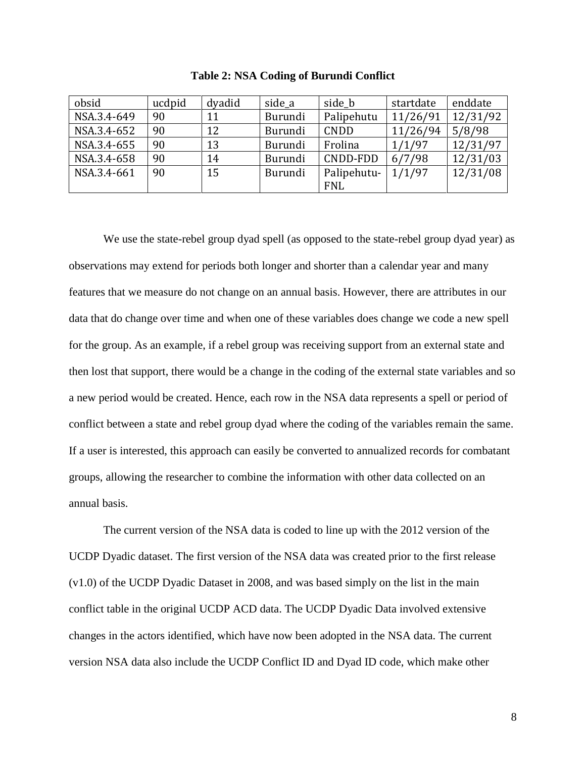| obsid       | ucdpid | dyadid | side a  | side b      | startdate | enddate  |
|-------------|--------|--------|---------|-------------|-----------|----------|
| NSA.3.4-649 | 90     | 11     | Burundi | Palipehutu  | 11/26/91  | 12/31/92 |
| NSA.3.4-652 | 90     | 12     | Burundi | <b>CNDD</b> | 11/26/94  | 5/8/98   |
| NSA.3.4-655 | 90     | 13     | Burundi | Frolina     | 1/1/97    | 12/31/97 |
| NSA.3.4-658 | 90     | 14     | Burundi | CNDD-FDD    | 6/7/98    | 12/31/03 |
| NSA.3.4-661 | 90     | 15     | Burundi | Palipehutu- | 1/1/97    | 12/31/08 |
|             |        |        |         | <b>FNL</b>  |           |          |

**Table 2: NSA Coding of Burundi Conflict**

We use the state-rebel group dyad spell (as opposed to the state-rebel group dyad year) as observations may extend for periods both longer and shorter than a calendar year and many features that we measure do not change on an annual basis. However, there are attributes in our data that do change over time and when one of these variables does change we code a new spell for the group. As an example, if a rebel group was receiving support from an external state and then lost that support, there would be a change in the coding of the external state variables and so a new period would be created. Hence, each row in the NSA data represents a spell or period of conflict between a state and rebel group dyad where the coding of the variables remain the same. If a user is interested, this approach can easily be converted to annualized records for combatant groups, allowing the researcher to combine the information with other data collected on an annual basis.

The current version of the NSA data is coded to line up with the 2012 version of the UCDP Dyadic dataset. The first version of the NSA data was created prior to the first release (v1.0) of the UCDP Dyadic Dataset in 2008, and was based simply on the list in the main conflict table in the original UCDP ACD data. The UCDP Dyadic Data involved extensive changes in the actors identified, which have now been adopted in the NSA data. The current version NSA data also include the UCDP Conflict ID and Dyad ID code, which make other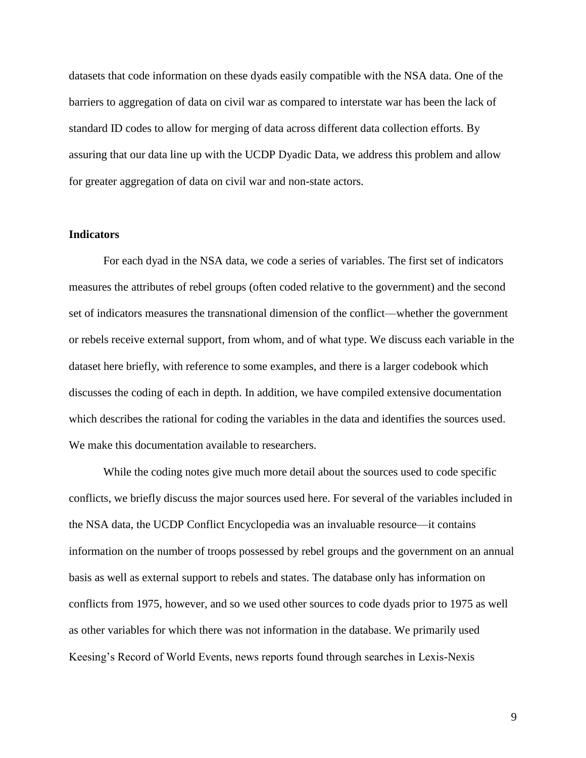datasets that code information on these dyads easily compatible with the NSA data. One of the barriers to aggregation of data on civil war as compared to interstate war has been the lack of standard ID codes to allow for merging of data across different data collection efforts. By assuring that our data line up with the UCDP Dyadic Data, we address this problem and allow for greater aggregation of data on civil war and non-state actors.

### **Indicators**

For each dyad in the NSA data, we code a series of variables. The first set of indicators measures the attributes of rebel groups (often coded relative to the government) and the second set of indicators measures the transnational dimension of the conflict—whether the government or rebels receive external support, from whom, and of what type. We discuss each variable in the dataset here briefly, with reference to some examples, and there is a larger codebook which discusses the coding of each in depth. In addition, we have compiled extensive documentation which describes the rational for coding the variables in the data and identifies the sources used. We make this documentation available to researchers.

While the coding notes give much more detail about the sources used to code specific conflicts, we briefly discuss the major sources used here. For several of the variables included in the NSA data, the UCDP Conflict Encyclopedia was an invaluable resource—it contains information on the number of troops possessed by rebel groups and the government on an annual basis as well as external support to rebels and states. The database only has information on conflicts from 1975, however, and so we used other sources to code dyads prior to 1975 as well as other variables for which there was not information in the database. We primarily used Keesing's Record of World Events, news reports found through searches in Lexis-Nexis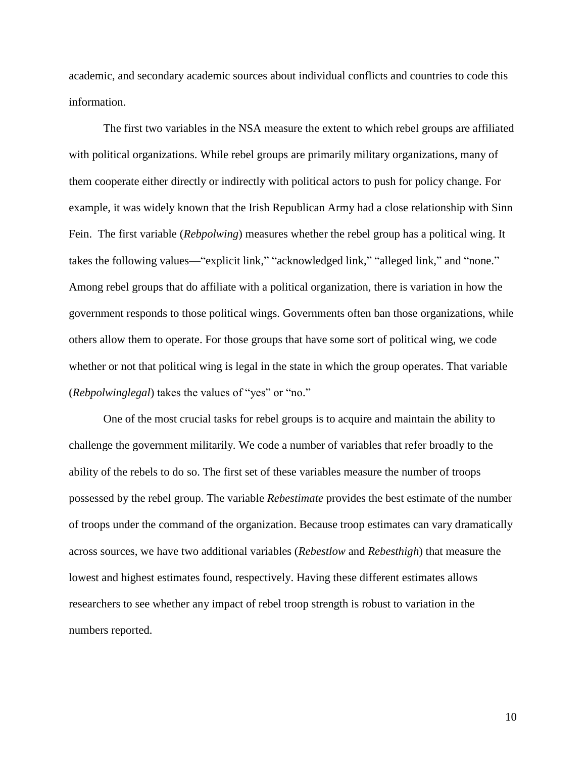academic, and secondary academic sources about individual conflicts and countries to code this information.

The first two variables in the NSA measure the extent to which rebel groups are affiliated with political organizations. While rebel groups are primarily military organizations, many of them cooperate either directly or indirectly with political actors to push for policy change. For example, it was widely known that the Irish Republican Army had a close relationship with Sinn Fein. The first variable (*Rebpolwing*) measures whether the rebel group has a political wing. It takes the following values—"explicit link," "acknowledged link," "alleged link," and "none." Among rebel groups that do affiliate with a political organization, there is variation in how the government responds to those political wings. Governments often ban those organizations, while others allow them to operate. For those groups that have some sort of political wing, we code whether or not that political wing is legal in the state in which the group operates. That variable (*Rebpolwinglegal*) takes the values of "yes" or "no."

One of the most crucial tasks for rebel groups is to acquire and maintain the ability to challenge the government militarily. We code a number of variables that refer broadly to the ability of the rebels to do so. The first set of these variables measure the number of troops possessed by the rebel group. The variable *Rebestimate* provides the best estimate of the number of troops under the command of the organization. Because troop estimates can vary dramatically across sources, we have two additional variables (*Rebestlow* and *Rebesthigh*) that measure the lowest and highest estimates found, respectively. Having these different estimates allows researchers to see whether any impact of rebel troop strength is robust to variation in the numbers reported.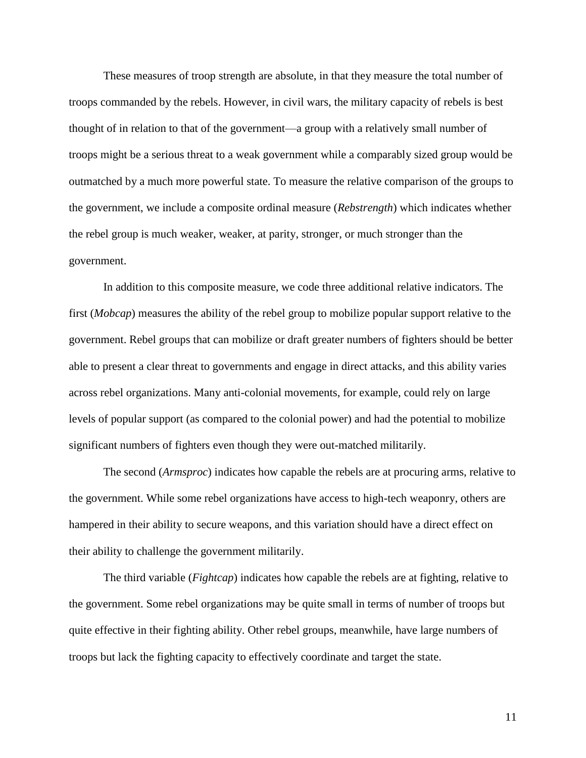These measures of troop strength are absolute, in that they measure the total number of troops commanded by the rebels. However, in civil wars, the military capacity of rebels is best thought of in relation to that of the government—a group with a relatively small number of troops might be a serious threat to a weak government while a comparably sized group would be outmatched by a much more powerful state. To measure the relative comparison of the groups to the government, we include a composite ordinal measure (*Rebstrength*) which indicates whether the rebel group is much weaker, weaker, at parity, stronger, or much stronger than the government.

In addition to this composite measure, we code three additional relative indicators. The first (*Mobcap*) measures the ability of the rebel group to mobilize popular support relative to the government. Rebel groups that can mobilize or draft greater numbers of fighters should be better able to present a clear threat to governments and engage in direct attacks, and this ability varies across rebel organizations. Many anti-colonial movements, for example, could rely on large levels of popular support (as compared to the colonial power) and had the potential to mobilize significant numbers of fighters even though they were out-matched militarily.

The second (*Armsproc*) indicates how capable the rebels are at procuring arms, relative to the government. While some rebel organizations have access to high-tech weaponry, others are hampered in their ability to secure weapons, and this variation should have a direct effect on their ability to challenge the government militarily.

The third variable (*Fightcap*) indicates how capable the rebels are at fighting, relative to the government. Some rebel organizations may be quite small in terms of number of troops but quite effective in their fighting ability. Other rebel groups, meanwhile, have large numbers of troops but lack the fighting capacity to effectively coordinate and target the state.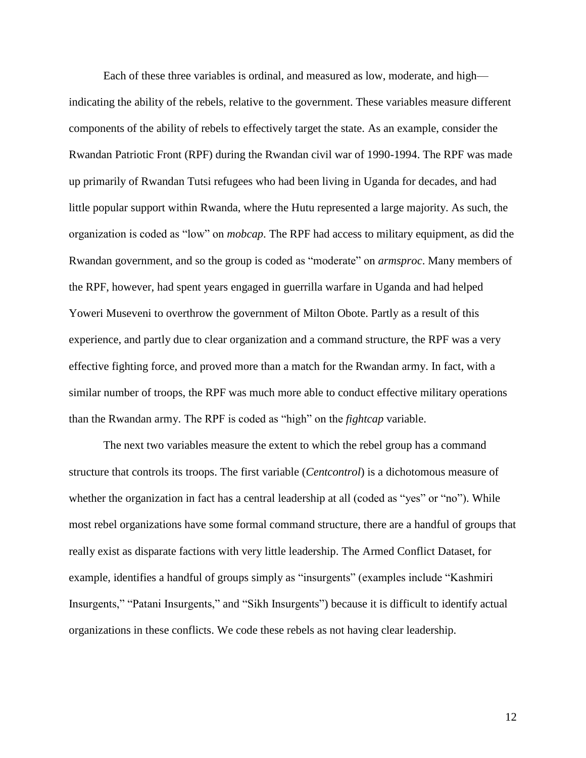Each of these three variables is ordinal, and measured as low, moderate, and high indicating the ability of the rebels, relative to the government. These variables measure different components of the ability of rebels to effectively target the state. As an example, consider the Rwandan Patriotic Front (RPF) during the Rwandan civil war of 1990-1994. The RPF was made up primarily of Rwandan Tutsi refugees who had been living in Uganda for decades, and had little popular support within Rwanda, where the Hutu represented a large majority. As such, the organization is coded as "low" on *mobcap*. The RPF had access to military equipment, as did the Rwandan government, and so the group is coded as "moderate" on *armsproc*. Many members of the RPF, however, had spent years engaged in guerrilla warfare in Uganda and had helped Yoweri Museveni to overthrow the government of Milton Obote. Partly as a result of this experience, and partly due to clear organization and a command structure, the RPF was a very effective fighting force, and proved more than a match for the Rwandan army. In fact, with a similar number of troops, the RPF was much more able to conduct effective military operations than the Rwandan army. The RPF is coded as "high" on the *fightcap* variable.

The next two variables measure the extent to which the rebel group has a command structure that controls its troops. The first variable (*Centcontrol*) is a dichotomous measure of whether the organization in fact has a central leadership at all (coded as "yes" or "no"). While most rebel organizations have some formal command structure, there are a handful of groups that really exist as disparate factions with very little leadership. The Armed Conflict Dataset, for example, identifies a handful of groups simply as "insurgents" (examples include "Kashmiri Insurgents," "Patani Insurgents," and "Sikh Insurgents") because it is difficult to identify actual organizations in these conflicts. We code these rebels as not having clear leadership.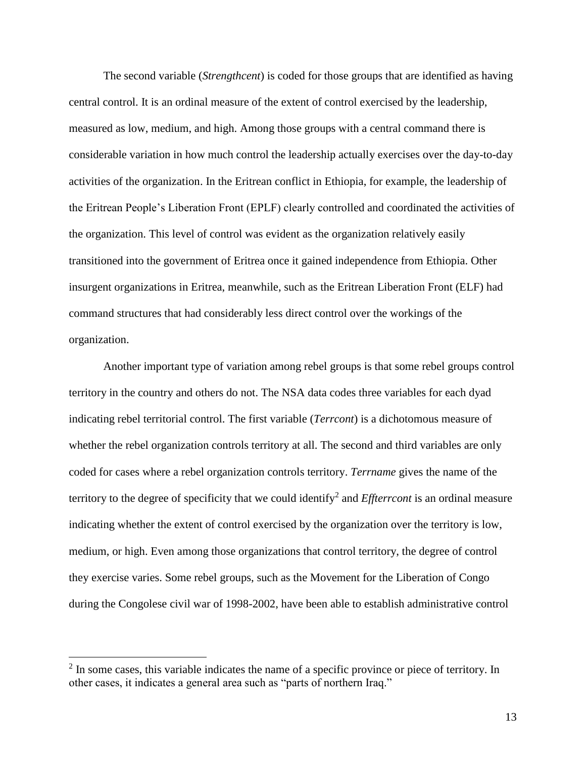The second variable (*Strengthcent*) is coded for those groups that are identified as having central control. It is an ordinal measure of the extent of control exercised by the leadership, measured as low, medium, and high. Among those groups with a central command there is considerable variation in how much control the leadership actually exercises over the day-to-day activities of the organization. In the Eritrean conflict in Ethiopia, for example, the leadership of the Eritrean People's Liberation Front (EPLF) clearly controlled and coordinated the activities of the organization. This level of control was evident as the organization relatively easily transitioned into the government of Eritrea once it gained independence from Ethiopia. Other insurgent organizations in Eritrea, meanwhile, such as the Eritrean Liberation Front (ELF) had command structures that had considerably less direct control over the workings of the organization.

Another important type of variation among rebel groups is that some rebel groups control territory in the country and others do not. The NSA data codes three variables for each dyad indicating rebel territorial control. The first variable (*Terrcont*) is a dichotomous measure of whether the rebel organization controls territory at all. The second and third variables are only coded for cases where a rebel organization controls territory. *Terrname* gives the name of the territory to the degree of specificity that we could identify<sup>2</sup> and *Effterrcont* is an ordinal measure indicating whether the extent of control exercised by the organization over the territory is low, medium, or high. Even among those organizations that control territory, the degree of control they exercise varies. Some rebel groups, such as the Movement for the Liberation of Congo during the Congolese civil war of 1998-2002, have been able to establish administrative control

 $\overline{a}$ 

 $2 \text{ In some cases, this variable indicates the name of a specific province or piece of territory. In }$ other cases, it indicates a general area such as "parts of northern Iraq."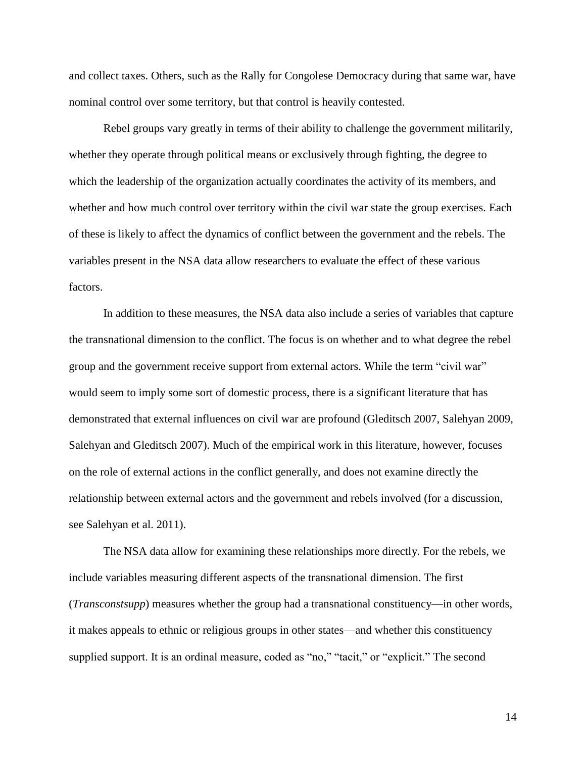and collect taxes. Others, such as the Rally for Congolese Democracy during that same war, have nominal control over some territory, but that control is heavily contested.

Rebel groups vary greatly in terms of their ability to challenge the government militarily, whether they operate through political means or exclusively through fighting, the degree to which the leadership of the organization actually coordinates the activity of its members, and whether and how much control over territory within the civil war state the group exercises. Each of these is likely to affect the dynamics of conflict between the government and the rebels. The variables present in the NSA data allow researchers to evaluate the effect of these various factors.

In addition to these measures, the NSA data also include a series of variables that capture the transnational dimension to the conflict. The focus is on whether and to what degree the rebel group and the government receive support from external actors. While the term "civil war" would seem to imply some sort of domestic process, there is a significant literature that has demonstrated that external influences on civil war are profound (Gleditsch 2007, Salehyan 2009, Salehyan and Gleditsch 2007). Much of the empirical work in this literature, however, focuses on the role of external actions in the conflict generally, and does not examine directly the relationship between external actors and the government and rebels involved (for a discussion, see Salehyan et al. 2011).

The NSA data allow for examining these relationships more directly. For the rebels, we include variables measuring different aspects of the transnational dimension. The first (*Transconstsupp*) measures whether the group had a transnational constituency—in other words, it makes appeals to ethnic or religious groups in other states—and whether this constituency supplied support. It is an ordinal measure, coded as "no," "tacit," or "explicit." The second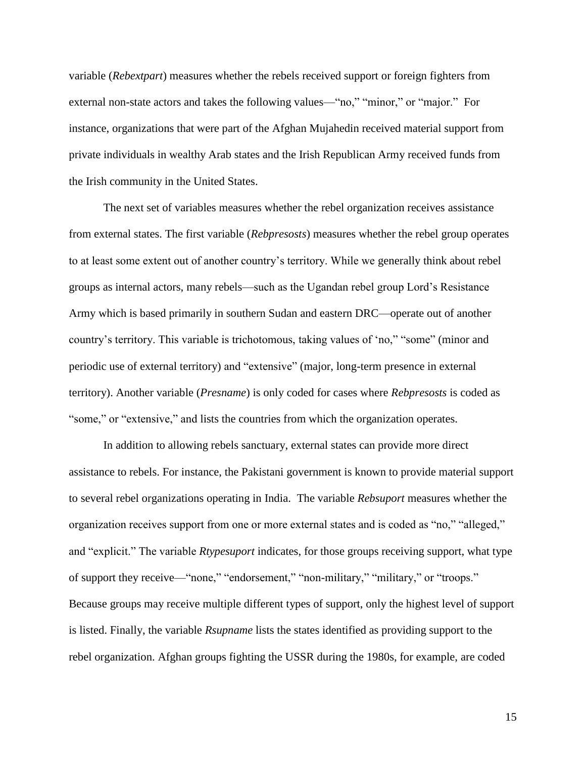variable (*Rebextpart*) measures whether the rebels received support or foreign fighters from external non-state actors and takes the following values—"no," "minor," or "major." For instance, organizations that were part of the Afghan Mujahedin received material support from private individuals in wealthy Arab states and the Irish Republican Army received funds from the Irish community in the United States.

The next set of variables measures whether the rebel organization receives assistance from external states. The first variable (*Rebpresosts*) measures whether the rebel group operates to at least some extent out of another country's territory. While we generally think about rebel groups as internal actors, many rebels—such as the Ugandan rebel group Lord's Resistance Army which is based primarily in southern Sudan and eastern DRC—operate out of another country's territory. This variable is trichotomous, taking values of 'no," "some" (minor and periodic use of external territory) and "extensive" (major, long-term presence in external territory). Another variable (*Presname*) is only coded for cases where *Rebpresosts* is coded as "some," or "extensive," and lists the countries from which the organization operates.

In addition to allowing rebels sanctuary, external states can provide more direct assistance to rebels. For instance, the Pakistani government is known to provide material support to several rebel organizations operating in India. The variable *Rebsuport* measures whether the organization receives support from one or more external states and is coded as "no," "alleged," and "explicit." The variable *Rtypesuport* indicates, for those groups receiving support, what type of support they receive—"none," "endorsement," "non-military," "military," or "troops." Because groups may receive multiple different types of support, only the highest level of support is listed. Finally, the variable *Rsupname* lists the states identified as providing support to the rebel organization. Afghan groups fighting the USSR during the 1980s, for example, are coded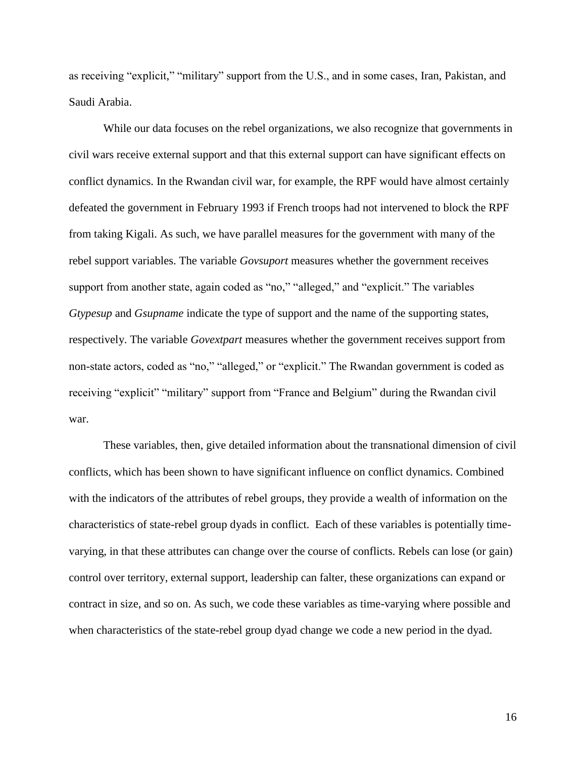as receiving "explicit," "military" support from the U.S., and in some cases, Iran, Pakistan, and Saudi Arabia.

While our data focuses on the rebel organizations, we also recognize that governments in civil wars receive external support and that this external support can have significant effects on conflict dynamics. In the Rwandan civil war, for example, the RPF would have almost certainly defeated the government in February 1993 if French troops had not intervened to block the RPF from taking Kigali. As such, we have parallel measures for the government with many of the rebel support variables. The variable *Govsuport* measures whether the government receives support from another state, again coded as "no," "alleged," and "explicit." The variables *Gtypesup* and *Gsupname* indicate the type of support and the name of the supporting states, respectively. The variable *Govextpart* measures whether the government receives support from non-state actors, coded as "no," "alleged," or "explicit." The Rwandan government is coded as receiving "explicit" "military" support from "France and Belgium" during the Rwandan civil war.

These variables, then, give detailed information about the transnational dimension of civil conflicts, which has been shown to have significant influence on conflict dynamics. Combined with the indicators of the attributes of rebel groups, they provide a wealth of information on the characteristics of state-rebel group dyads in conflict. Each of these variables is potentially timevarying, in that these attributes can change over the course of conflicts. Rebels can lose (or gain) control over territory, external support, leadership can falter, these organizations can expand or contract in size, and so on. As such, we code these variables as time-varying where possible and when characteristics of the state-rebel group dyad change we code a new period in the dyad.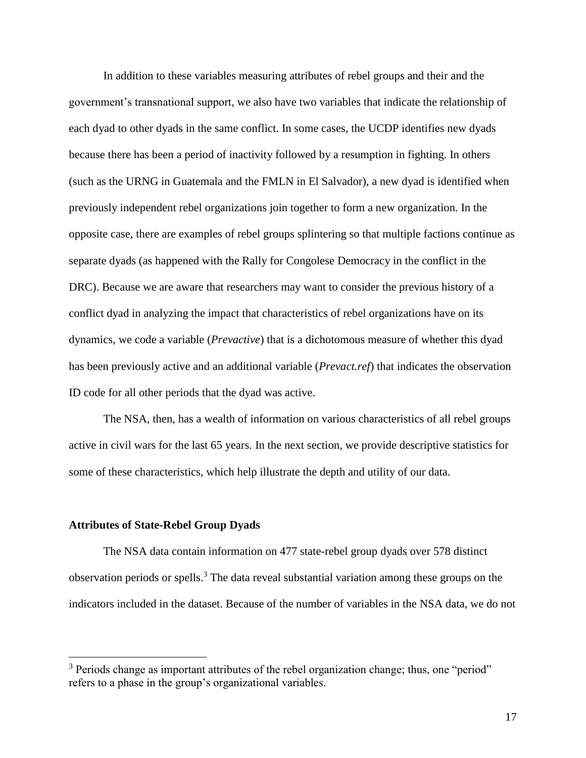In addition to these variables measuring attributes of rebel groups and their and the government's transnational support, we also have two variables that indicate the relationship of each dyad to other dyads in the same conflict. In some cases, the UCDP identifies new dyads because there has been a period of inactivity followed by a resumption in fighting. In others (such as the URNG in Guatemala and the FMLN in El Salvador), a new dyad is identified when previously independent rebel organizations join together to form a new organization. In the opposite case, there are examples of rebel groups splintering so that multiple factions continue as separate dyads (as happened with the Rally for Congolese Democracy in the conflict in the DRC). Because we are aware that researchers may want to consider the previous history of a conflict dyad in analyzing the impact that characteristics of rebel organizations have on its dynamics, we code a variable (*Prevactive*) that is a dichotomous measure of whether this dyad has been previously active and an additional variable (*Prevact.ref*) that indicates the observation ID code for all other periods that the dyad was active.

The NSA, then, has a wealth of information on various characteristics of all rebel groups active in civil wars for the last 65 years. In the next section, we provide descriptive statistics for some of these characteristics, which help illustrate the depth and utility of our data.

#### **Attributes of State-Rebel Group Dyads**

 $\overline{a}$ 

The NSA data contain information on 477 state-rebel group dyads over 578 distinct observation periods or spells. <sup>3</sup> The data reveal substantial variation among these groups on the indicators included in the dataset. Because of the number of variables in the NSA data, we do not

<sup>&</sup>lt;sup>3</sup> Periods change as important attributes of the rebel organization change; thus, one "period" refers to a phase in the group's organizational variables.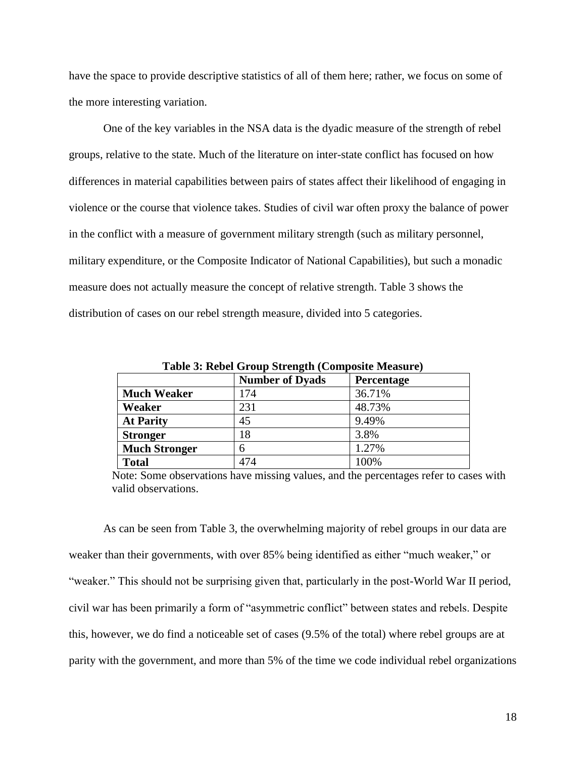have the space to provide descriptive statistics of all of them here; rather, we focus on some of the more interesting variation.

One of the key variables in the NSA data is the dyadic measure of the strength of rebel groups, relative to the state. Much of the literature on inter-state conflict has focused on how differences in material capabilities between pairs of states affect their likelihood of engaging in violence or the course that violence takes. Studies of civil war often proxy the balance of power in the conflict with a measure of government military strength (such as military personnel, military expenditure, or the Composite Indicator of National Capabilities), but such a monadic measure does not actually measure the concept of relative strength. Table 3 shows the distribution of cases on our rebel strength measure, divided into 5 categories.

|                      | <b>Number of Dyads</b> | Percentage |
|----------------------|------------------------|------------|
| <b>Much Weaker</b>   | 174                    | 36.71%     |
| Weaker               | 231                    | 48.73%     |
| <b>At Parity</b>     | 45                     | 9.49%      |
| <b>Stronger</b>      | 18                     | 3.8%       |
| <b>Much Stronger</b> | 6                      | 1.27%      |
| <b>Total</b>         | 474                    | 100%       |

**Table 3: Rebel Group Strength (Composite Measure)**

Note: Some observations have missing values, and the percentages refer to cases with valid observations.

As can be seen from Table 3, the overwhelming majority of rebel groups in our data are weaker than their governments, with over 85% being identified as either "much weaker," or "weaker." This should not be surprising given that, particularly in the post-World War II period, civil war has been primarily a form of "asymmetric conflict" between states and rebels. Despite this, however, we do find a noticeable set of cases (9.5% of the total) where rebel groups are at parity with the government, and more than 5% of the time we code individual rebel organizations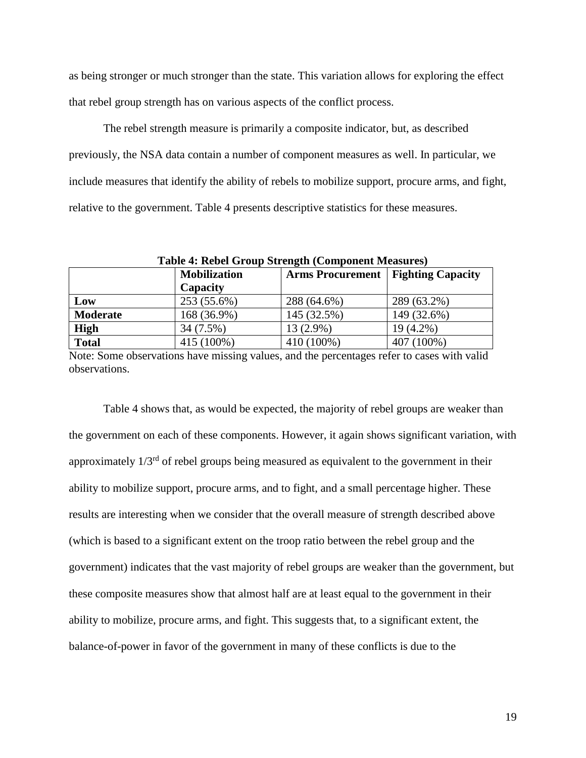as being stronger or much stronger than the state. This variation allows for exploring the effect that rebel group strength has on various aspects of the conflict process.

The rebel strength measure is primarily a composite indicator, but, as described previously, the NSA data contain a number of component measures as well. In particular, we include measures that identify the ability of rebels to mobilize support, procure arms, and fight, relative to the government. Table 4 presents descriptive statistics for these measures.

| Table 4. Repet Group Strength (Component Measures) |                     |                         |                          |  |  |
|----------------------------------------------------|---------------------|-------------------------|--------------------------|--|--|
|                                                    | <b>Mobilization</b> | <b>Arms Procurement</b> | <b>Fighting Capacity</b> |  |  |
|                                                    | Capacity            |                         |                          |  |  |
| Low                                                | 253 (55.6%)         | 288 (64.6%)             | 289 (63.2%)              |  |  |
| <b>Moderate</b>                                    | 168 (36.9%)         | 145 (32.5%)             | 149 (32.6%)              |  |  |
| <b>High</b>                                        | 34 (7.5%)           | 13 (2.9%)               | 19 (4.2%)                |  |  |
| <b>Total</b>                                       | 415 (100%)          | 410 (100%)              | 407 (100%)               |  |  |

**Table 4: Rebel Group Strength (Component Measures)**

Note: Some observations have missing values, and the percentages refer to cases with valid observations.

Table 4 shows that, as would be expected, the majority of rebel groups are weaker than the government on each of these components. However, it again shows significant variation, with approximately  $1/3<sup>rd</sup>$  of rebel groups being measured as equivalent to the government in their ability to mobilize support, procure arms, and to fight, and a small percentage higher. These results are interesting when we consider that the overall measure of strength described above (which is based to a significant extent on the troop ratio between the rebel group and the government) indicates that the vast majority of rebel groups are weaker than the government, but these composite measures show that almost half are at least equal to the government in their ability to mobilize, procure arms, and fight. This suggests that, to a significant extent, the balance-of-power in favor of the government in many of these conflicts is due to the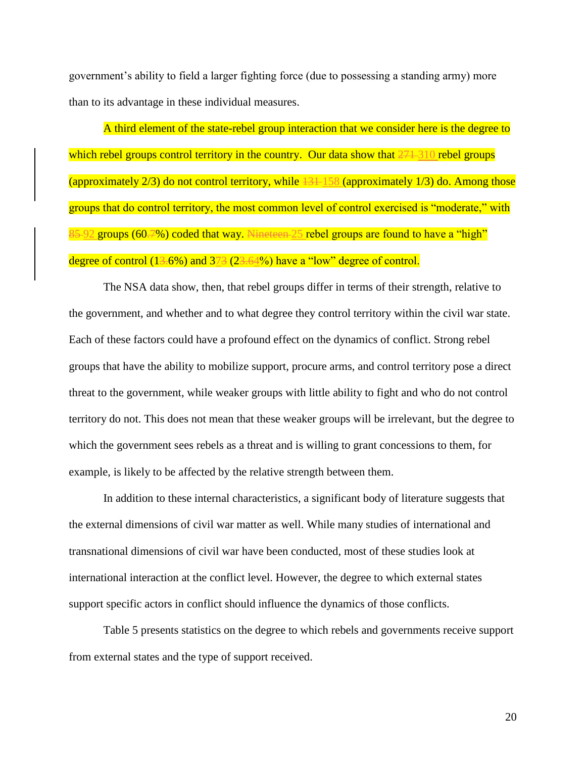government's ability to field a larger fighting force (due to possessing a standing army) more than to its advantage in these individual measures.

A third element of the state-rebel group interaction that we consider here is the degree to which rebel groups control territory in the country. Our data show that  $271-310$  rebel groups (approximately  $2/3$ ) do not control territory, while  $43+158$  (approximately  $1/3$ ) do. Among those groups that do control territory, the most common level of control exercised is "moderate," with 85-92 groups (60.7%) coded that way. Nineteen-25 rebel groups are found to have a "high" degree of control (13.6%) and 373 (23.64%) have a "low" degree of control.

The NSA data show, then, that rebel groups differ in terms of their strength, relative to the government, and whether and to what degree they control territory within the civil war state. Each of these factors could have a profound effect on the dynamics of conflict. Strong rebel groups that have the ability to mobilize support, procure arms, and control territory pose a direct threat to the government, while weaker groups with little ability to fight and who do not control territory do not. This does not mean that these weaker groups will be irrelevant, but the degree to which the government sees rebels as a threat and is willing to grant concessions to them, for example, is likely to be affected by the relative strength between them.

In addition to these internal characteristics, a significant body of literature suggests that the external dimensions of civil war matter as well. While many studies of international and transnational dimensions of civil war have been conducted, most of these studies look at international interaction at the conflict level. However, the degree to which external states support specific actors in conflict should influence the dynamics of those conflicts.

Table 5 presents statistics on the degree to which rebels and governments receive support from external states and the type of support received.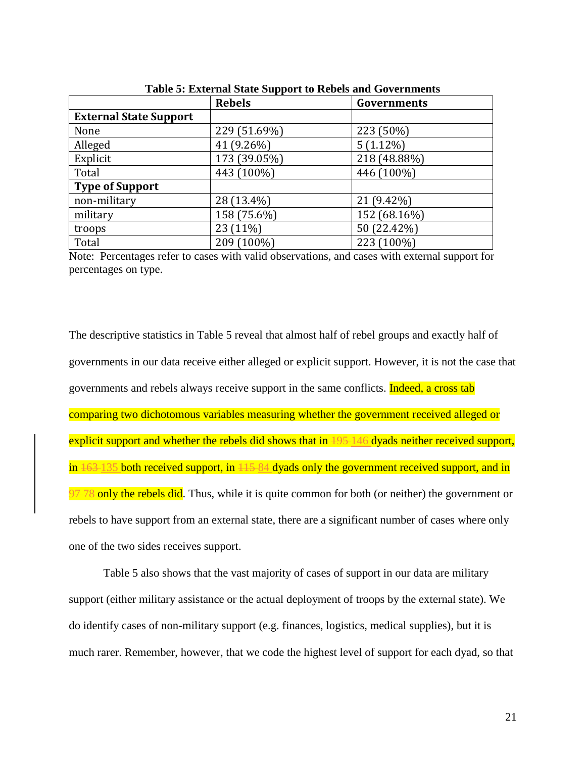|                               | <b>Rebels</b> | TWOLE OF EMPLEMENT D'UNIO D'UPPOLE EU LIGOGIO UMIUL COT CLIMACINO<br>Governments |  |  |
|-------------------------------|---------------|----------------------------------------------------------------------------------|--|--|
| <b>External State Support</b> |               |                                                                                  |  |  |
| None                          | 229 (51.69%)  | 223 (50%)                                                                        |  |  |
| Alleged                       | 41 (9.26%)    | $5(1.12\%)$                                                                      |  |  |
| Explicit                      | 173 (39.05%)  | 218 (48.88%)                                                                     |  |  |
| Total                         | 443 (100%)    | 446 (100%)                                                                       |  |  |
| <b>Type of Support</b>        |               |                                                                                  |  |  |
| non-military                  | 28 (13.4%)    | 21 (9.42%)                                                                       |  |  |
| military                      | 158 (75.6%)   | 152 (68.16%)                                                                     |  |  |
| troops                        | 23 (11%)      | 50 (22.42%)                                                                      |  |  |
| Total                         | 209 (100%)    | 223 (100%)                                                                       |  |  |

**Table 5: External State Support to Rebels and Governments**

Note: Percentages refer to cases with valid observations, and cases with external support for percentages on type.

The descriptive statistics in Table 5 reveal that almost half of rebel groups and exactly half of governments in our data receive either alleged or explicit support. However, it is not the case that governments and rebels always receive support in the same conflicts. Indeed, a cross tab comparing two dichotomous variables measuring whether the government received alleged or explicit support and whether the rebels did shows that in  $\frac{195 - 146}{9}$  dyads neither received support, in  $\frac{163 - 135}{100}$  both received support, in  $\frac{115 - 84}{100}$  dyads only the government received support, and in 97-78 only the rebels did. Thus, while it is quite common for both (or neither) the government or rebels to have support from an external state, there are a significant number of cases where only one of the two sides receives support.

Table 5 also shows that the vast majority of cases of support in our data are military support (either military assistance or the actual deployment of troops by the external state). We do identify cases of non-military support (e.g. finances, logistics, medical supplies), but it is much rarer. Remember, however, that we code the highest level of support for each dyad, so that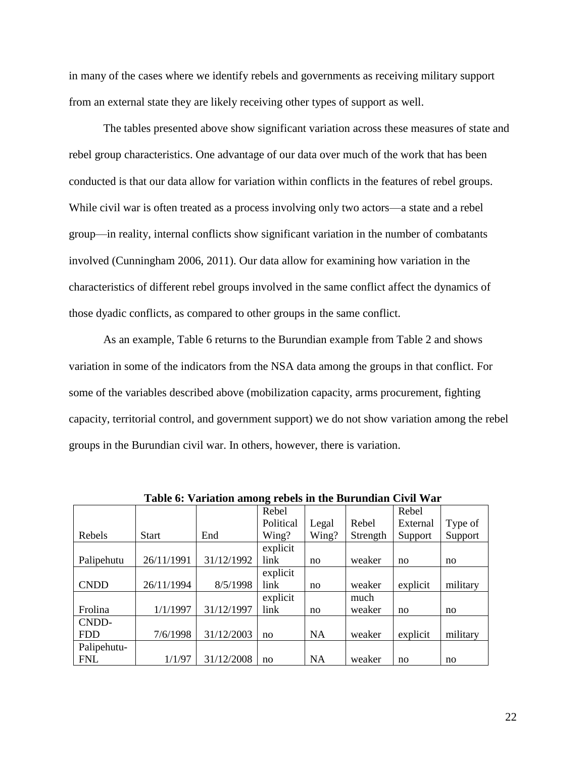in many of the cases where we identify rebels and governments as receiving military support from an external state they are likely receiving other types of support as well.

The tables presented above show significant variation across these measures of state and rebel group characteristics. One advantage of our data over much of the work that has been conducted is that our data allow for variation within conflicts in the features of rebel groups. While civil war is often treated as a process involving only two actors—a state and a rebel group—in reality, internal conflicts show significant variation in the number of combatants involved (Cunningham 2006, 2011). Our data allow for examining how variation in the characteristics of different rebel groups involved in the same conflict affect the dynamics of those dyadic conflicts, as compared to other groups in the same conflict.

As an example, Table 6 returns to the Burundian example from Table 2 and shows variation in some of the indicators from the NSA data among the groups in that conflict. For some of the variables described above (mobilization capacity, arms procurement, fighting capacity, territorial control, and government support) we do not show variation among the rebel groups in the Burundian civil war. In others, however, there is variation.

|             |              |            | Rebel     |           |          | Rebel    |          |
|-------------|--------------|------------|-----------|-----------|----------|----------|----------|
|             |              |            | Political | Legal     | Rebel    | External | Type of  |
| Rebels      | <b>Start</b> | End        | Wing?     | Wing?     | Strength | Support  | Support  |
|             |              |            | explicit  |           |          |          |          |
| Palipehutu  | 26/11/1991   | 31/12/1992 | link      | no        | weaker   | no       | no       |
|             |              |            | explicit  |           |          |          |          |
| <b>CNDD</b> | 26/11/1994   | 8/5/1998   | link      | no        | weaker   | explicit | military |
|             |              |            | explicit  |           | much     |          |          |
| Frolina     | 1/1/1997     | 31/12/1997 | link      | no        | weaker   | no       | no       |
| CNDD-       |              |            |           |           |          |          |          |
| <b>FDD</b>  | 7/6/1998     | 31/12/2003 | no        | <b>NA</b> | weaker   | explicit | military |
| Palipehutu- |              |            |           |           |          |          |          |
| <b>FNL</b>  | 1/1/97       | 31/12/2008 | no        | <b>NA</b> | weaker   | no       | no       |

**Table 6: Variation among rebels in the Burundian Civil War**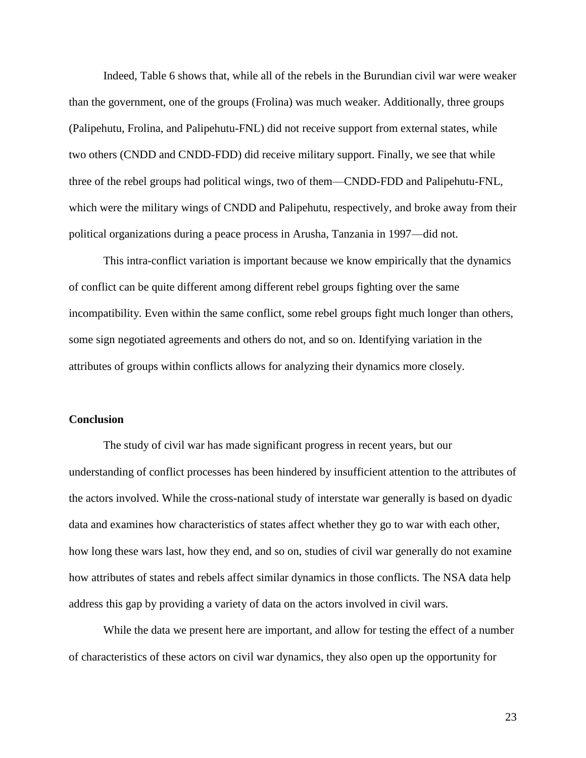Indeed, Table 6 shows that, while all of the rebels in the Burundian civil war were weaker than the government, one of the groups (Frolina) was much weaker. Additionally, three groups (Palipehutu, Frolina, and Palipehutu-FNL) did not receive support from external states, while two others (CNDD and CNDD-FDD) did receive military support. Finally, we see that while three of the rebel groups had political wings, two of them—CNDD-FDD and Palipehutu-FNL, which were the military wings of CNDD and Palipehutu, respectively, and broke away from their political organizations during a peace process in Arusha, Tanzania in 1997—did not.

This intra-conflict variation is important because we know empirically that the dynamics of conflict can be quite different among different rebel groups fighting over the same incompatibility. Even within the same conflict, some rebel groups fight much longer than others, some sign negotiated agreements and others do not, and so on. Identifying variation in the attributes of groups within conflicts allows for analyzing their dynamics more closely.

# **Conclusion**

The study of civil war has made significant progress in recent years, but our understanding of conflict processes has been hindered by insufficient attention to the attributes of the actors involved. While the cross-national study of interstate war generally is based on dyadic data and examines how characteristics of states affect whether they go to war with each other, how long these wars last, how they end, and so on, studies of civil war generally do not examine how attributes of states and rebels affect similar dynamics in those conflicts. The NSA data help address this gap by providing a variety of data on the actors involved in civil wars.

While the data we present here are important, and allow for testing the effect of a number of characteristics of these actors on civil war dynamics, they also open up the opportunity for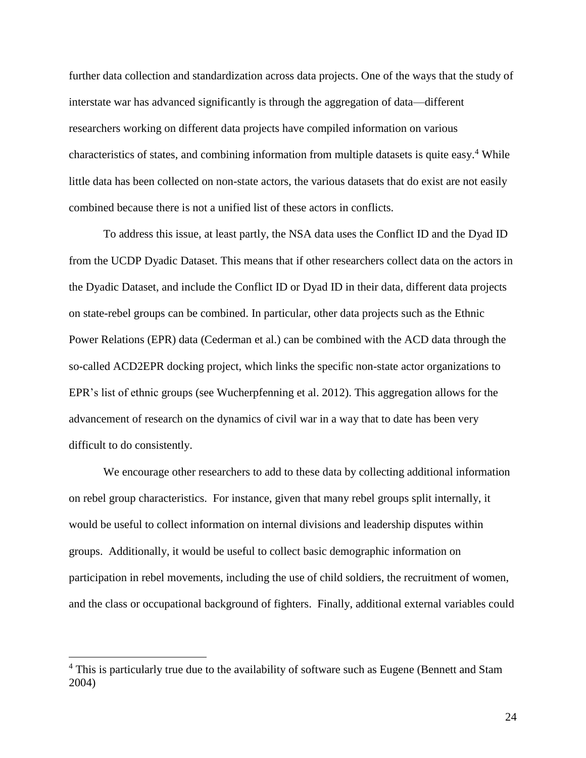further data collection and standardization across data projects. One of the ways that the study of interstate war has advanced significantly is through the aggregation of data—different researchers working on different data projects have compiled information on various characteristics of states, and combining information from multiple datasets is quite easy.<sup>4</sup> While little data has been collected on non-state actors, the various datasets that do exist are not easily combined because there is not a unified list of these actors in conflicts.

To address this issue, at least partly, the NSA data uses the Conflict ID and the Dyad ID from the UCDP Dyadic Dataset. This means that if other researchers collect data on the actors in the Dyadic Dataset, and include the Conflict ID or Dyad ID in their data, different data projects on state-rebel groups can be combined. In particular, other data projects such as the Ethnic Power Relations (EPR) data (Cederman et al.) can be combined with the ACD data through the so-called ACD2EPR docking project, which links the specific non-state actor organizations to EPR's list of ethnic groups (see Wucherpfenning et al. 2012). This aggregation allows for the advancement of research on the dynamics of civil war in a way that to date has been very difficult to do consistently.

We encourage other researchers to add to these data by collecting additional information on rebel group characteristics. For instance, given that many rebel groups split internally, it would be useful to collect information on internal divisions and leadership disputes within groups. Additionally, it would be useful to collect basic demographic information on participation in rebel movements, including the use of child soldiers, the recruitment of women, and the class or occupational background of fighters. Finally, additional external variables could

 $\overline{a}$ 

<sup>&</sup>lt;sup>4</sup> This is particularly true due to the availability of software such as Eugene (Bennett and Stam 2004)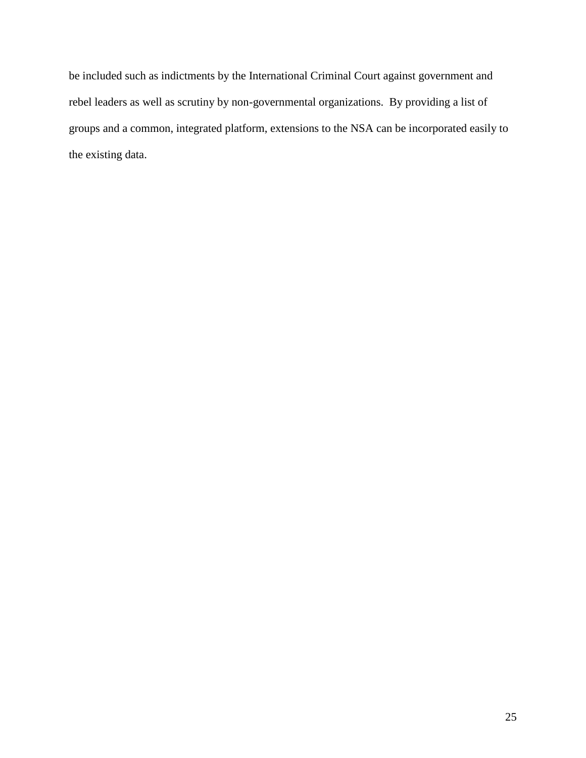be included such as indictments by the International Criminal Court against government and rebel leaders as well as scrutiny by non-governmental organizations. By providing a list of groups and a common, integrated platform, extensions to the NSA can be incorporated easily to the existing data.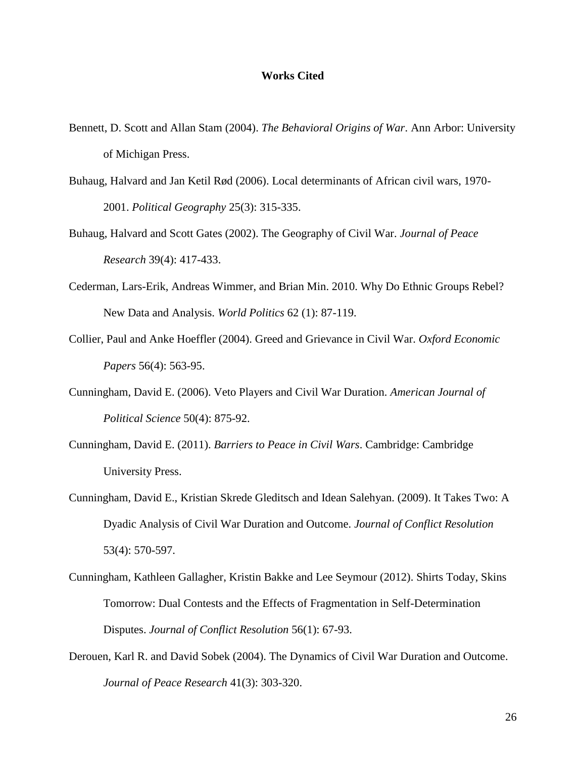#### **Works Cited**

- Bennett, D. Scott and Allan Stam (2004). *The Behavioral Origins of War*. Ann Arbor: University of Michigan Press.
- Buhaug, Halvard and Jan Ketil Rød (2006). Local determinants of African civil wars, 1970- 2001. *Political Geography* 25(3): 315-335.
- Buhaug, Halvard and Scott Gates (2002). The Geography of Civil War. *Journal of Peace Research* 39(4): 417-433.
- Cederman, Lars-Erik, Andreas Wimmer, and Brian Min. 2010. Why Do Ethnic Groups Rebel? New Data and Analysis. *World Politics* 62 (1): 87-119.
- Collier, Paul and Anke Hoeffler (2004). Greed and Grievance in Civil War. *Oxford Economic Papers* 56(4): 563-95.
- Cunningham, David E. (2006). Veto Players and Civil War Duration. *American Journal of Political Science* 50(4): 875-92.
- Cunningham, David E. (2011). *Barriers to Peace in Civil Wars*. Cambridge: Cambridge University Press.
- Cunningham, David E., Kristian Skrede Gleditsch and Idean Salehyan. (2009). It Takes Two: A Dyadic Analysis of Civil War Duration and Outcome. *Journal of Conflict Resolution* 53(4): 570-597.
- Cunningham, Kathleen Gallagher, Kristin Bakke and Lee Seymour (2012). Shirts Today, Skins Tomorrow: Dual Contests and the Effects of Fragmentation in Self-Determination Disputes. *Journal of Conflict Resolution* 56(1): 67-93.
- Derouen, Karl R. and David Sobek (2004). The Dynamics of Civil War Duration and Outcome. *Journal of Peace Research* 41(3): 303-320.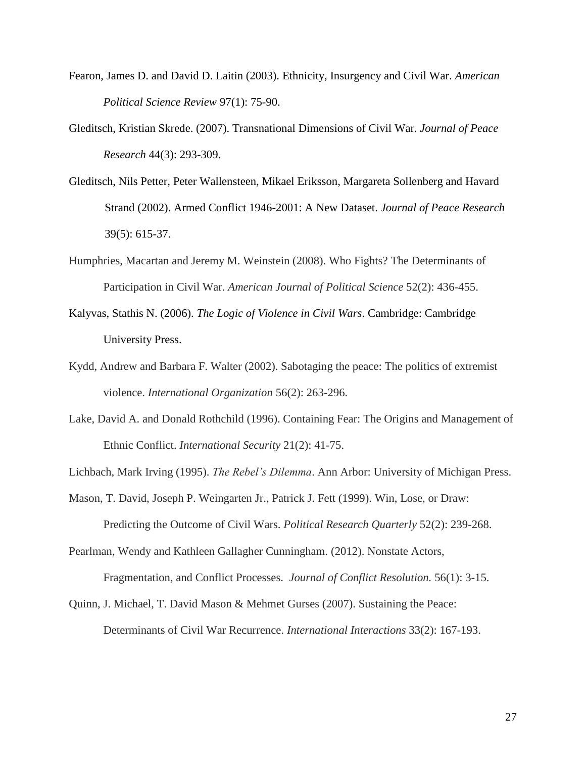- Fearon, James D. and David D. Laitin (2003). Ethnicity, Insurgency and Civil War. *American Political Science Review* 97(1): 75-90.
- Gleditsch, Kristian Skrede. (2007). Transnational Dimensions of Civil War. *Journal of Peace Research* 44(3): 293-309.
- Gleditsch, Nils Petter, Peter Wallensteen, Mikael Eriksson, Margareta Sollenberg and Havard Strand (2002). Armed Conflict 1946-2001: A New Dataset. *Journal of Peace Research* 39(5): 615-37.
- Humphries, Macartan and Jeremy M. Weinstein (2008). Who Fights? The Determinants of Participation in Civil War. *American Journal of Political Science* 52(2): 436-455.
- Kalyvas, Stathis N. (2006). *The Logic of Violence in Civil Wars*. Cambridge: Cambridge University Press.
- Kydd, Andrew and Barbara F. Walter (2002). Sabotaging the peace: The politics of extremist violence. *International Organization* 56(2): 263-296.
- Lake, David A. and Donald Rothchild (1996). Containing Fear: The Origins and Management of Ethnic Conflict. *International Security* 21(2): 41-75.

Lichbach, Mark Irving (1995). *The Rebel's Dilemma*. Ann Arbor: University of Michigan Press.

Mason, T. David, Joseph P. Weingarten Jr., Patrick J. Fett (1999). Win, Lose, or Draw: Predicting the Outcome of Civil Wars. *Political Research Quarterly* 52(2): 239-268.

Pearlman, Wendy and Kathleen Gallagher Cunningham. (2012). Nonstate Actors, Fragmentation, and Conflict Processes. *Journal of Conflict Resolution.* 56(1): 3-15.

Quinn, J. Michael, T. David Mason & Mehmet Gurses (2007). Sustaining the Peace: Determinants of Civil War Recurrence. *International Interactions* 33(2): 167-193.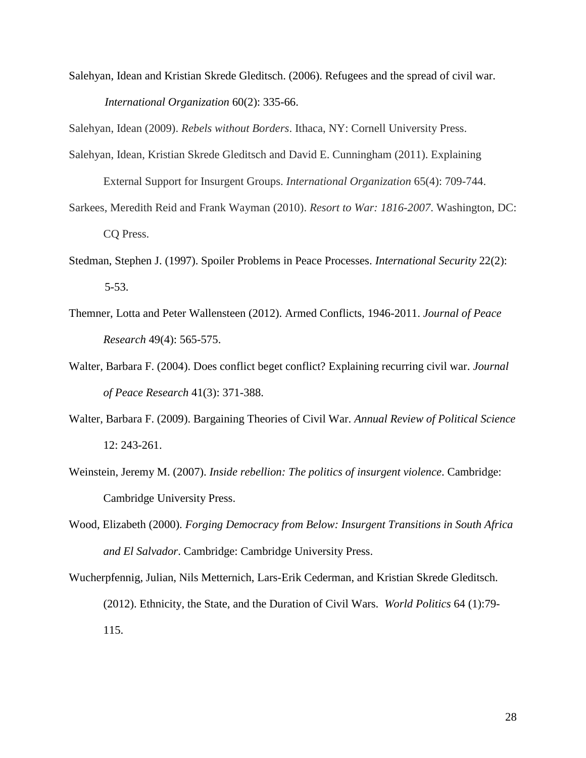Salehyan, Idean and Kristian Skrede Gleditsch. (2006). Refugees and the spread of civil war. *International Organization* 60(2): 335-66.

Salehyan, Idean (2009). *Rebels without Borders*. Ithaca, NY: Cornell University Press.

- Salehyan, Idean, Kristian Skrede Gleditsch and David E. Cunningham (2011). Explaining External Support for Insurgent Groups. *International Organization* 65(4): 709-744.
- Sarkees, Meredith Reid and Frank Wayman (2010). *Resort to War: 1816-2007*. Washington, DC: CQ Press.
- Stedman, Stephen J. (1997). Spoiler Problems in Peace Processes. *International Security* 22(2): 5-53.
- Themner, Lotta and Peter Wallensteen (2012). Armed Conflicts, 1946-2011. *Journal of Peace Research* 49(4): 565-575.
- Walter, Barbara F. (2004). Does conflict beget conflict? Explaining recurring civil war. *Journal of Peace Research* 41(3): 371-388.
- Walter, Barbara F. (2009). Bargaining Theories of Civil War. *Annual Review of Political Science* 12: 243-261.
- Weinstein, Jeremy M. (2007). *Inside rebellion: The politics of insurgent violence*. Cambridge: Cambridge University Press.
- Wood, Elizabeth (2000). *Forging Democracy from Below: Insurgent Transitions in South Africa and El Salvador*. Cambridge: Cambridge University Press.
- Wucherpfennig, Julian, Nils Metternich, Lars-Erik Cederman, and Kristian Skrede Gleditsch. (2012). Ethnicity, the State, and the Duration of Civil Wars. *World Politics* 64 (1):79- 115.